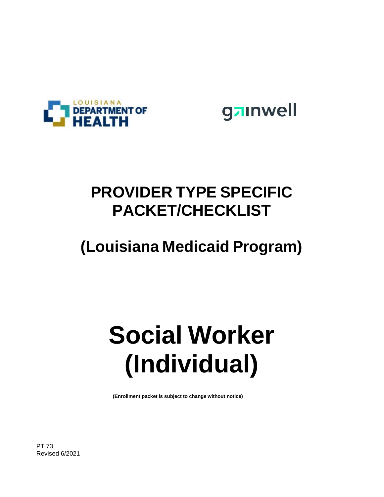



### **PROVIDER TYPE SPECIFIC PACKET/CHECKLIST**

### **(Louisiana Medicaid Program)**

# **Social Worker (Individual)**

**(Enrollment packet is subject to change without notice)**

PT 73 Revised 6/2021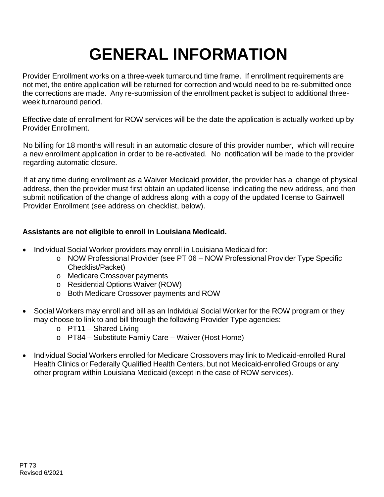### **GENERAL INFORMATION**

Provider Enrollment works on a three-week turnaround time frame. If enrollment requirements are not met, the entire application will be returned for correction and would need to be re-submitted once the corrections are made. Any re-submission of the enrollment packet is subject to additional threeweek turnaround period.

Effective date of enrollment for ROW services will be the date the application is actually worked up by Provider Enrollment.

No billing for 18 months will result in an automatic closure of this provider number, which will require a new enrollment application in order to be re-activated. No notification will be made to the provider regarding automatic closure.

If at any time during enrollment as a Waiver Medicaid provider, the provider has a change of physical address, then the provider must first obtain an updated license indicating the new address, and then submit notification of the change of address along with a copy of the updated license to Gainwell Provider Enrollment (see address on checklist, below).

#### **Assistants are not eligible to enroll in Louisiana Medicaid.**

- Individual Social Worker providers may enroll in Louisiana Medicaid for:
	- o NOW Professional Provider (see PT 06 NOW Professional Provider Type Specific Checklist/Packet)
	- o Medicare Crossover payments
	- o Residential Options Waiver (ROW)
	- o Both Medicare Crossover payments and ROW
- Social Workers may enroll and bill as an Individual Social Worker for the ROW program or they may choose to link to and bill through the following Provider Type agencies:
	- o PT11 Shared Living
	- o PT84 Substitute Family Care Waiver (Host Home)
- Individual Social Workers enrolled for Medicare Crossovers may link to Medicaid-enrolled Rural Health Clinics or Federally Qualified Health Centers, but not Medicaid-enrolled Groups or any other program within Louisiana Medicaid (except in the case of ROW services).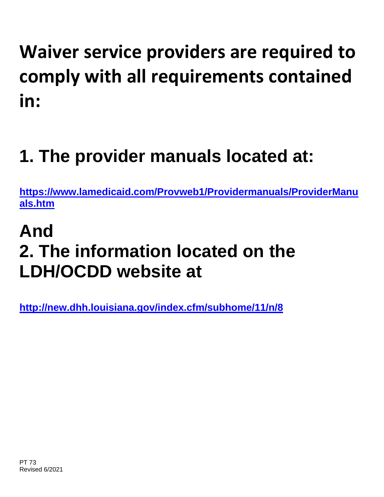# **Waiver service providers are required to comply with all requirements contained in:**

## **1. The provider manuals located at:**

**[https://www.lamedicaid.com/Provweb1/Providermanuals/ProviderManu](https://www.lamedicaid.com/Provweb1/Providermanuals/ProviderManuals.htm) [als.htm](https://www.lamedicaid.com/Provweb1/Providermanuals/ProviderManuals.htm)**

### **And 2. The information located on the LDH/OCDD website at**

**<http://new.dhh.louisiana.gov/index.cfm/subhome/11/n/8>**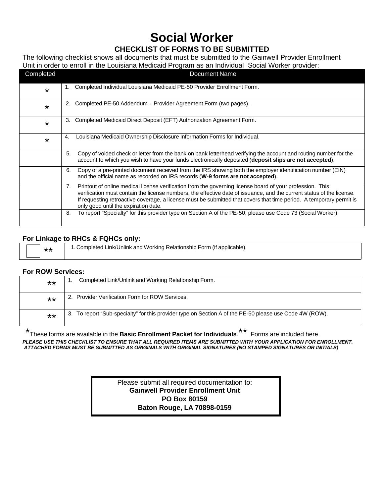### **Social Worker**

#### **CHECKLIST OF FORMS TO BE SUBMITTED**

The following checklist shows all documents that must be submitted to the Gainwell Provider Enrollment Unit in order to enroll in the Louisiana Medicaid Program as an Individual Social Worker provider:

| Completed | <b>Document Name</b>                                                                                                                                                                                                                                                                                                                                                                                    |
|-----------|---------------------------------------------------------------------------------------------------------------------------------------------------------------------------------------------------------------------------------------------------------------------------------------------------------------------------------------------------------------------------------------------------------|
| $\star$   | Completed Individual Louisiana Medicaid PE-50 Provider Enrollment Form.<br>1.                                                                                                                                                                                                                                                                                                                           |
| $\star$   | Completed PE-50 Addendum - Provider Agreement Form (two pages).<br>2.                                                                                                                                                                                                                                                                                                                                   |
| $\star$   | 3.<br>Completed Medicaid Direct Deposit (EFT) Authorization Agreement Form.                                                                                                                                                                                                                                                                                                                             |
| $\star$   | Louisiana Medicaid Ownership Disclosure Information Forms for Individual.<br>4.                                                                                                                                                                                                                                                                                                                         |
|           | 5.<br>Copy of voided check or letter from the bank on bank letterhead verifying the account and routing number for the<br>account to which you wish to have your funds electronically deposited (deposit slips are not accepted).                                                                                                                                                                       |
|           | Copy of a pre-printed document received from the IRS showing both the employer identification number (EIN)<br>6.<br>and the official name as recorded on IRS records (W-9 forms are not accepted).                                                                                                                                                                                                      |
|           | Printout of online medical license verification from the governing license board of your profession. This<br>7.<br>verification must contain the license numbers, the effective date of issuance, and the current status of the license.<br>If requesting retroactive coverage, a license must be submitted that covers that time period. A temporary permit is<br>only good until the expiration date. |
|           | To report "Specialty" for this provider type on Section A of the PE-50, please use Code 73 (Social Worker).<br>8.                                                                                                                                                                                                                                                                                       |

#### **For Linkage to RHCs & FQHCs only:**

| ** | 1. Completed Link/Unlink and Working Relationship Form (if applicable). |
|----|-------------------------------------------------------------------------|
|    |                                                                         |

#### **For ROW Services:**

| $***$ | Completed Link/Unlink and Working Relationship Form.                                                    |
|-------|---------------------------------------------------------------------------------------------------------|
| $***$ | 2. Provider Verification Form for ROW Services.                                                         |
| $***$ | 3. To report "Sub-specialty" for this provider type on Section A of the PE-50 please use Code 4W (ROW). |

\* These forms are available in the **Basic Enrollment Packet for Individuals**.\*\* Forms are included here. *PLEASE USE THIS CHECKLIST TO ENSURE THAT ALL REQUIRED ITEMS ARE SUBMITTED WITH YOUR APPLICATION FOR ENROLLMENT. ATTACHED FORMS MUST BE SUBMITTED AS ORIGINALS WITH ORIGINAL SIGNATURES (NO STAMPED SIGNATURES OR INITIALS)*

> Please submit all required documentation to: **Gainwell Provider Enrollment Unit PO Box 80159 Baton Rouge, LA 70898-0159**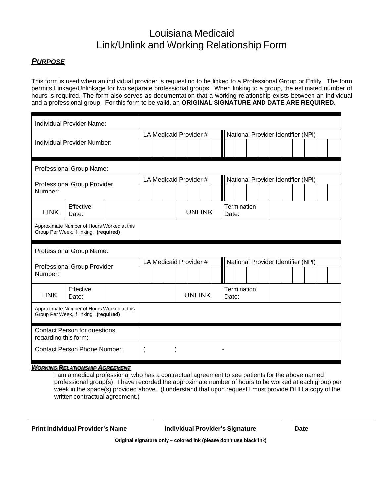### Louisiana Medicaid Link/Unlink and Working Relationship Form

#### *PURPOSE*

This form is used when an individual provider is requesting to be linked to a Professional Group or Entity. The form permits Linkage/Unlinkage for two separate professional groups. When linking to a group, the estimated number of hours is required. The form also serves as documentation that a working relationship exists between an individual and a professional group. For this form to be valid, an **ORIGINAL SIGNATURE AND DATE ARE REQUIRED.**

| Individual Provider Name:                                                            |                                    |  |                        |  |  |  |                        |  |                                    |                                    |  |  |  |  |  |  |  |  |  |
|--------------------------------------------------------------------------------------|------------------------------------|--|------------------------|--|--|--|------------------------|--|------------------------------------|------------------------------------|--|--|--|--|--|--|--|--|--|
| Individual Provider Number:                                                          |                                    |  |                        |  |  |  | LA Medicaid Provider # |  | National Provider Identifier (NPI) |                                    |  |  |  |  |  |  |  |  |  |
|                                                                                      |                                    |  |                        |  |  |  |                        |  |                                    |                                    |  |  |  |  |  |  |  |  |  |
| Professional Group Name:                                                             |                                    |  |                        |  |  |  |                        |  |                                    |                                    |  |  |  |  |  |  |  |  |  |
|                                                                                      |                                    |  | LA Medicaid Provider # |  |  |  |                        |  |                                    | National Provider Identifier (NPI) |  |  |  |  |  |  |  |  |  |
| <b>Professional Group Provider</b><br>Number:                                        |                                    |  |                        |  |  |  |                        |  |                                    |                                    |  |  |  |  |  |  |  |  |  |
| <b>LINK</b>                                                                          | Effective<br>Date:                 |  |                        |  |  |  | <b>UNLINK</b>          |  | Date:                              | Termination                        |  |  |  |  |  |  |  |  |  |
| Approximate Number of Hours Worked at this<br>Group Per Week, if linking. (required) |                                    |  |                        |  |  |  |                        |  |                                    |                                    |  |  |  |  |  |  |  |  |  |
|                                                                                      | Professional Group Name:           |  |                        |  |  |  |                        |  |                                    |                                    |  |  |  |  |  |  |  |  |  |
|                                                                                      | <b>Professional Group Provider</b> |  | LA Medicaid Provider # |  |  |  |                        |  | National Provider Identifier (NPI) |                                    |  |  |  |  |  |  |  |  |  |
| Number:                                                                              |                                    |  |                        |  |  |  |                        |  |                                    |                                    |  |  |  |  |  |  |  |  |  |
| <b>LINK</b>                                                                          | Effective<br>Date:                 |  |                        |  |  |  | <b>UNLINK</b>          |  | Date:                              | Termination                        |  |  |  |  |  |  |  |  |  |
| Approximate Number of Hours Worked at this<br>Group Per Week, if linking. (required) |                                    |  |                        |  |  |  |                        |  |                                    |                                    |  |  |  |  |  |  |  |  |  |
| <b>Contact Person for questions</b><br>regarding this form:                          |                                    |  |                        |  |  |  |                        |  |                                    |                                    |  |  |  |  |  |  |  |  |  |
| <b>Contact Person Phone Number:</b>                                                  |                                    |  |                        |  |  |  |                        |  |                                    |                                    |  |  |  |  |  |  |  |  |  |

#### *WORKING RELATIONSHIP AGREEMENT*

I am a medical professional who has a contractual agreement to see patients for the above named professional group(s). I have recorded the approximate number of hours to be worked at each group per week in the space(s) provided above. (I understand that upon request I must provide DHH a copy of the written contractual agreement.)

**Print Individual Provider's Name Individual Provider's Signature Date**

**Original signature only – colored ink (please don't use black ink)**